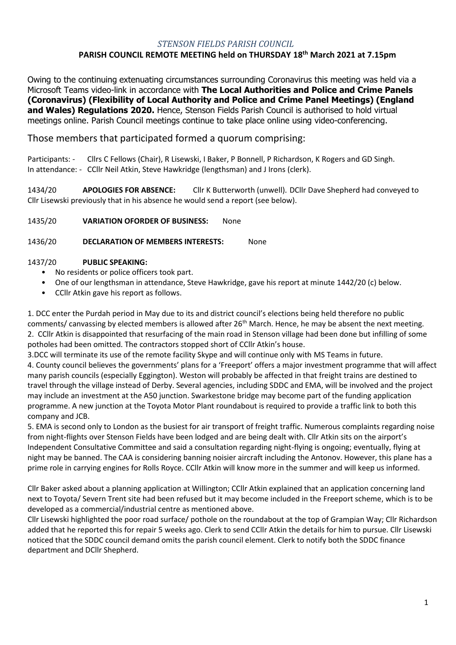### *STENSON FIELDS PARISH COUNCIL*

### **PARISH COUNCIL REMOTE MEETING held on THURSDAY 18th March 2021 at 7.15pm**

Owing to the continuing extenuating circumstances surrounding Coronavirus this meeting was held via a Microsoft Teams video-link in accordance with **The Local Authorities and Police and Crime Panels (Coronavirus) (Flexibility of Local Authority and Police and Crime Panel Meetings) (England and Wales) Regulations 2020.** Hence, Stenson Fields Parish Council is authorised to hold virtual meetings online. Parish Council meetings continue to take place online using video-conferencing.

## Those members that participated formed a quorum comprising:

Participants: - Cllrs C Fellows (Chair), R Lisewski, I Baker, P Bonnell, P Richardson, K Rogers and GD Singh. In attendance: - CCllr Neil Atkin, Steve Hawkridge (lengthsman) and J Irons (clerk).

1434/20 **APOLOGIES FOR ABSENCE:** Cllr K Butterworth (unwell). DCllr Dave Shepherd had conveyed to Cllr Lisewski previously that in his absence he would send a report (see below).

#### 1435/20 **VARIATION OFORDER OF BUSINESS:** None

#### 1436/20 **DECLARATION OF MEMBERS INTERESTS:** None

#### 1437/20 **PUBLIC SPEAKING:**

- No residents or police officers took part.
- One of our lengthsman in attendance, Steve Hawkridge, gave his report at minute 1442/20 (c) below.
- CCllr Atkin gave his report as follows.

1. DCC enter the Purdah period in May due to its and district council's elections being held therefore no public comments/ canvassing by elected members is allowed after 26<sup>th</sup> March. Hence, he may be absent the next meeting. 2. CCllr Atkin is disappointed that resurfacing of the main road in Stenson village had been done but infilling of some potholes had been omitted. The contractors stopped short of CCllr Atkin's house.

3.DCC will terminate its use of the remote facility Skype and will continue only with MS Teams in future.

4. County council believes the governments' plans for a 'Freeport' offers a major investment programme that will affect many parish councils (especially Eggington). Weston will probably be affected in that freight trains are destined to travel through the village instead of Derby. Several agencies, including SDDC and EMA, will be involved and the project may include an investment at the A50 junction. Swarkestone bridge may become part of the funding application programme. A new junction at the Toyota Motor Plant roundabout is required to provide a traffic link to both this company and JCB.

5. EMA is second only to London as the busiest for air transport of freight traffic. Numerous complaints regarding noise from night-flights over Stenson Fields have been lodged and are being dealt with. Cllr Atkin sits on the airport's Independent Consultative Committee and said a consultation regarding night-flying is ongoing; eventually, flying at night may be banned. The CAA is considering banning noisier aircraft including the Antonov. However, this plane has a prime role in carrying engines for Rolls Royce. CCllr Atkin will know more in the summer and will keep us informed.

Cllr Baker asked about a planning application at Willington; CCllr Atkin explained that an application concerning land next to Toyota/ Severn Trent site had been refused but it may become included in the Freeport scheme, which is to be developed as a commercial/industrial centre as mentioned above.

Cllr Lisewski highlighted the poor road surface/ pothole on the roundabout at the top of Grampian Way; Cllr Richardson added that he reported this for repair 5 weeks ago. Clerk to send CCllr Atkin the details for him to pursue. Cllr Lisewski noticed that the SDDC council demand omits the parish council element. Clerk to notify both the SDDC finance department and DCllr Shepherd.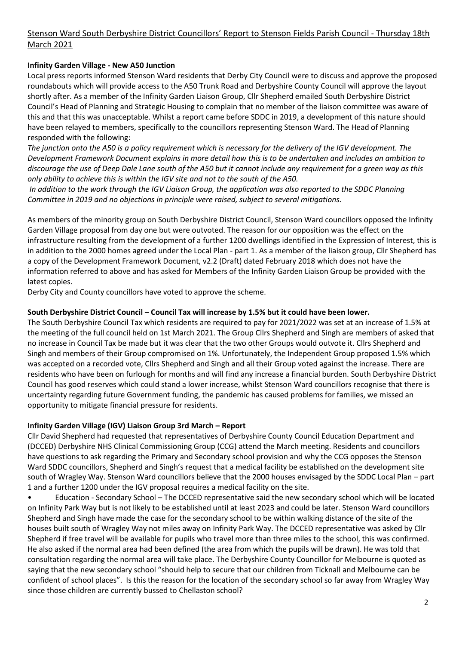# Stenson Ward South Derbyshire District Councillors' Report to Stenson Fields Parish Council - Thursday 18th March 2021

## **Infinity Garden Village - New A50 Junction**

Local press reports informed Stenson Ward residents that Derby City Council were to discuss and approve the proposed roundabouts which will provide access to the A50 Trunk Road and Derbyshire County Council will approve the layout shortly after. As a member of the Infinity Garden Liaison Group, Cllr Shepherd emailed South Derbyshire District Council's Head of Planning and Strategic Housing to complain that no member of the liaison committee was aware of this and that this was unacceptable. Whilst a report came before SDDC in 2019, a development of this nature should have been relayed to members, specifically to the councillors representing Stenson Ward. The Head of Planning responded with the following:

*The junction onto the A50 is a policy requirement which is necessary for the delivery of the IGV development. The Development Framework Document explains in more detail how this is to be undertaken and includes an ambition to discourage the use of Deep Dale Lane south of the A50 but it cannot include any requirement for a green way as this only ability to achieve this is within the IGV site and not to the south of the A50.*

*In addition to the work through the IGV Liaison Group, the application was also reported to the SDDC Planning Committee in 2019 and no objections in principle were raised, subject to several mitigations.*

As members of the minority group on South Derbyshire District Council, Stenson Ward councillors opposed the Infinity Garden Village proposal from day one but were outvoted. The reason for our opposition was the effect on the infrastructure resulting from the development of a further 1200 dwellings identified in the Expression of Interest, this is in addition to the 2000 homes agreed under the Local Plan - part 1. As a member of the liaison group, Cllr Shepherd has a copy of the Development Framework Document, v2.2 (Draft) dated February 2018 which does not have the information referred to above and has asked for Members of the Infinity Garden Liaison Group be provided with the latest copies.

Derby City and County councillors have voted to approve the scheme.

#### **South Derbyshire District Council – Council Tax will increase by 1.5% but it could have been lower.**

The South Derbyshire Council Tax which residents are required to pay for 2021/2022 was set at an increase of 1.5% at the meeting of the full council held on 1st March 2021. The Group Cllrs Shepherd and Singh are members of asked that no increase in Council Tax be made but it was clear that the two other Groups would outvote it. Cllrs Shepherd and Singh and members of their Group compromised on 1%. Unfortunately, the Independent Group proposed 1.5% which was accepted on a recorded vote, Cllrs Shepherd and Singh and all their Group voted against the increase. There are residents who have been on furlough for months and will find any increase a financial burden. South Derbyshire District Council has good reserves which could stand a lower increase, whilst Stenson Ward councillors recognise that there is uncertainty regarding future Government funding, the pandemic has caused problems for families, we missed an opportunity to mitigate financial pressure for residents.

### **Infinity Garden Village (IGV) Liaison Group 3rd March – Report**

Cllr David Shepherd had requested that representatives of Derbyshire County Council Education Department and (DCCED) Derbyshire NHS Clinical Commissioning Group (CCG) attend the March meeting. Residents and councillors have questions to ask regarding the Primary and Secondary school provision and why the CCG opposes the Stenson Ward SDDC councillors, Shepherd and Singh's request that a medical facility be established on the development site south of Wragley Way. Stenson Ward councillors believe that the 2000 houses envisaged by the SDDC Local Plan – part 1 and a further 1200 under the IGV proposal requires a medical facility on the site.

• Education - Secondary School – The DCCED representative said the new secondary school which will be located on Infinity Park Way but is not likely to be established until at least 2023 and could be later. Stenson Ward councillors Shepherd and Singh have made the case for the secondary school to be within walking distance of the site of the houses built south of Wragley Way not miles away on Infinity Park Way. The DCCED representative was asked by Cllr Shepherd if free travel will be available for pupils who travel more than three miles to the school, this was confirmed. He also asked if the normal area had been defined (the area from which the pupils will be drawn). He was told that consultation regarding the normal area will take place. The Derbyshire County Councillor for Melbourne is quoted as saying that the new secondary school "should help to secure that our children from Ticknall and Melbourne can be confident of school places". Is this the reason for the location of the secondary school so far away from Wragley Way since those children are currently bussed to Chellaston school?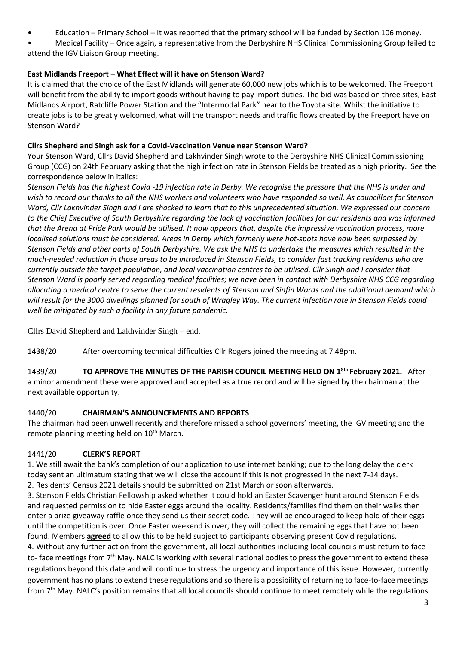• Education – Primary School – It was reported that the primary school will be funded by Section 106 money.

• Medical Facility – Once again, a representative from the Derbyshire NHS Clinical Commissioning Group failed to attend the IGV Liaison Group meeting.

# **East Midlands Freeport – What Effect will it have on Stenson Ward?**

It is claimed that the choice of the East Midlands will generate 60,000 new jobs which is to be welcomed. The Freeport will benefit from the ability to import goods without having to pay import duties. The bid was based on three sites, East Midlands Airport, Ratcliffe Power Station and the "Intermodal Park" near to the Toyota site. Whilst the initiative to create jobs is to be greatly welcomed, what will the transport needs and traffic flows created by the Freeport have on Stenson Ward?

# **Cllrs Shepherd and Singh ask for a Covid-Vaccination Venue near Stenson Ward?**

Your Stenson Ward, Cllrs David Shepherd and Lakhvinder Singh wrote to the Derbyshire NHS Clinical Commissioning Group (CCG) on 24th February asking that the high infection rate in Stenson Fields be treated as a high priority. See the correspondence below in italics:

*Stenson Fields has the highest Covid -19 infection rate in Derby. We recognise the pressure that the NHS is under and wish to record our thanks to all the NHS workers and volunteers who have responded so well. As councillors for Stenson Ward, Cllr Lakhvinder Singh and I are shocked to learn that to this unprecedented situation. We expressed our concern to the Chief Executive of South Derbyshire regarding the lack of vaccination facilities for our residents and was informed that the Arena at Pride Park would be utilised. It now appears that, despite the impressive vaccination process, more localised solutions must be considered. Areas in Derby which formerly were hot-spots have now been surpassed by Stenson Fields and other parts of South Derbyshire. We ask the NHS to undertake the measures which resulted in the much-needed reduction in those areas to be introduced in Stenson Fields, to consider fast tracking residents who are currently outside the target population, and local vaccination centres to be utilised. Cllr Singh and I consider that Stenson Ward is poorly served regarding medical facilities; we have been in contact with Derbyshire NHS CCG regarding allocating a medical centre to serve the current residents of Stenson and Sinfin Wards and the additional demand which will result for the 3000 dwellings planned for south of Wragley Way. The current infection rate in Stenson Fields could well be mitigated by such a facility in any future pandemic.*

Cllrs David Shepherd and Lakhvinder Singh – end.

1438/20 After overcoming technical difficulties Cllr Rogers joined the meeting at 7.48pm.

1439/20 **TO APPROVE THE MINUTES OF THE PARISH COUNCIL MEETING HELD ON 1 8th February 2021.** After a minor amendment these were approved and accepted as a true record and will be signed by the chairman at the next available opportunity.

# 1440/20 **CHAIRMAN'S ANNOUNCEMENTS AND REPORTS**

The chairman had been unwell recently and therefore missed a school governors' meeting, the IGV meeting and the remote planning meeting held on 10<sup>th</sup> March.

# 1441/20 **CLERK'S REPORT**

1. We still await the bank's completion of our application to use internet banking; due to the long delay the clerk today sent an ultimatum stating that we will close the account if this is not progressed in the next 7-14 days. 2. Residents' Census 2021 details should be submitted on 21st March or soon afterwards.

3. Stenson Fields Christian Fellowship asked whether it could hold an Easter Scavenger hunt around Stenson Fields and requested permission to hide Easter eggs around the locality. Residents/families find them on their walks then enter a prize giveaway raffle once they send us their secret code. They will be encouraged to keep hold of their eggs until the competition is over. Once Easter weekend is over, they will collect the remaining eggs that have not been found. Members **agreed** to allow this to be held subject to participants observing present Covid regulations.

4. Without any further action from the government, all local authorities including local councils must return to faceto- face meetings from 7<sup>th</sup> May. NALC is working with several national bodies to press the government to extend these regulations beyond this date and will continue to stress the urgency and importance of this issue. However, currently government has no plans to extend these regulations and so there is a possibility of returning to face-to-face meetings from 7<sup>th</sup> May. NALC's position remains that all local councils should continue to meet remotely while the regulations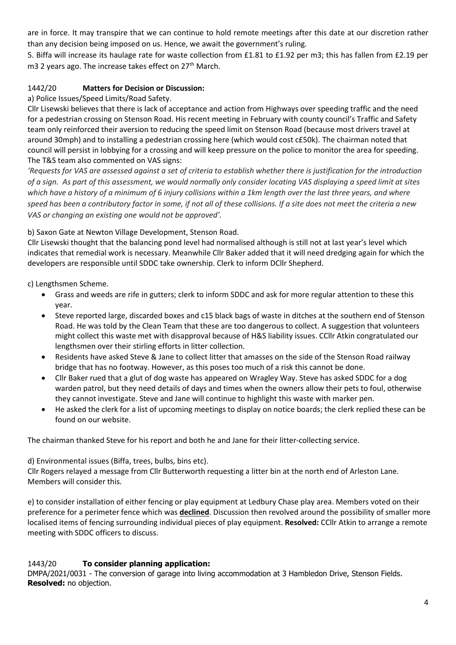are in force. It may transpire that we can continue to hold remote meetings after this date at our discretion rather than any decision being imposed on us. Hence, we await the government's ruling.

5. Biffa will increase its haulage rate for waste collection from £1.81 to £1.92 per m3; this has fallen from £2.19 per m3 2 years ago. The increase takes effect on 27<sup>th</sup> March.

## 1442/20 **Matters for Decision or Discussion:**

a) Police Issues/Speed Limits/Road Safety.

Cllr Lisewski believes that there is lack of acceptance and action from Highways over speeding traffic and the need for a pedestrian crossing on Stenson Road. His recent meeting in February with county council's Traffic and Safety team only reinforced their aversion to reducing the speed limit on Stenson Road (because most drivers travel at around 30mph) and to installing a pedestrian crossing here (which would cost c£50k). The chairman noted that council will persist in lobbying for a crossing and will keep pressure on the police to monitor the area for speeding. The T&S team also commented on VAS signs:

*'Requests for VAS are assessed against a set of criteria to establish whether there is justification for the introduction of a sign. As part of this assessment, we would normally only consider locating VAS displaying a speed limit at sites which have a history of a minimum of 6 injury collisions within a 1km length over the last three years, and where speed has been a contributory factor in some, if not all of these collisions. If a site does not meet the criteria a new VAS or changing an existing one would not be approved'.*

b) Saxon Gate at Newton Village Development, Stenson Road.

Cllr Lisewski thought that the balancing pond level had normalised although is still not at last year's level which indicates that remedial work is necessary. Meanwhile Cllr Baker added that it will need dredging again for which the developers are responsible until SDDC take ownership. Clerk to inform DCllr Shepherd.

c) Lengthsmen Scheme.

- Grass and weeds are rife in gutters; clerk to inform SDDC and ask for more regular attention to these this year.
- Steve reported large, discarded boxes and c15 black bags of waste in ditches at the southern end of Stenson Road. He was told by the Clean Team that these are too dangerous to collect. A suggestion that volunteers might collect this waste met with disapproval because of H&S liability issues. CCllr Atkin congratulated our lengthsmen over their stirling efforts in litter collection.
- Residents have asked Steve & Jane to collect litter that amasses on the side of the Stenson Road railway bridge that has no footway. However, as this poses too much of a risk this cannot be done.
- Cllr Baker rued that a glut of dog waste has appeared on Wragley Way. Steve has asked SDDC for a dog warden patrol, but they need details of days and times when the owners allow their pets to foul, otherwise they cannot investigate. Steve and Jane will continue to highlight this waste with marker pen.
- He asked the clerk for a list of upcoming meetings to display on notice boards; the clerk replied these can be found on our website.

The chairman thanked Steve for his report and both he and Jane for their litter-collecting service.

d) Environmental issues (Biffa, trees, bulbs, bins etc).

Cllr Rogers relayed a message from Cllr Butterworth requesting a litter bin at the north end of Arleston Lane. Members will consider this.

e) to consider installation of either fencing or play equipment at Ledbury Chase play area. Members voted on their preference for a perimeter fence which was **declined**. Discussion then revolved around the possibility of smaller more localised items of fencing surrounding individual pieces of play equipment. **Resolved:** CCllr Atkin to arrange a remote meeting with SDDC officers to discuss.

### 1443/20 **To consider planning application:**

DMPA/2021/0031 - The conversion of garage into living accommodation at 3 Hambledon Drive, Stenson Fields. **Resolved:** no objection.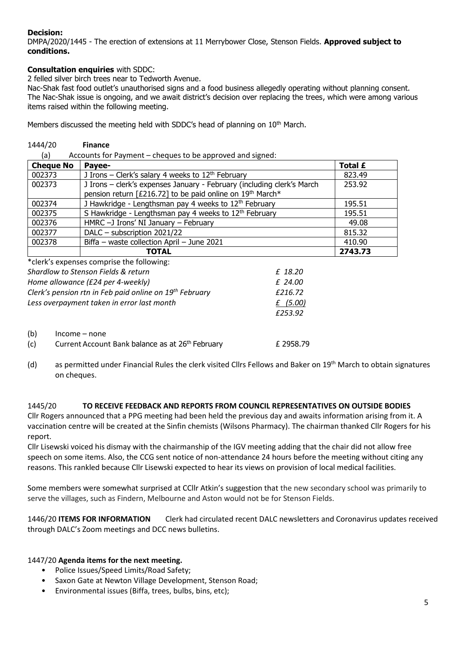# **Decision:**

DMPA/2020/1445 - The erection of extensions at 11 Merrybower Close, Stenson Fields. **Approved subject to conditions.** 

## **Consultation enquiries** with SDDC:

2 felled silver birch trees near to Tedworth Avenue.

Nac-Shak fast food outlet's unauthorised signs and a food business allegedly operating without planning consent. The Nac-Shak issue is ongoing, and we await district's decision over replacing the trees, which were among various items raised within the following meeting.

Members discussed the meeting held with SDDC's head of planning on 10<sup>th</sup> March.

| <b>Finance</b>                                                                                                                      |                                                           |
|-------------------------------------------------------------------------------------------------------------------------------------|-----------------------------------------------------------|
|                                                                                                                                     |                                                           |
| Payee-                                                                                                                              | Total £                                                   |
| J Irons – Clerk's salary 4 weeks to $12th$ February                                                                                 | 823.49                                                    |
| J Irons - clerk's expenses January - February (including clerk's March<br>pension return [£216.72] to be paid online on 19th March* | 253.92                                                    |
| J Hawkridge - Lengthsman pay 4 weeks to 12 <sup>th</sup> February                                                                   | 195.51                                                    |
| S Hawkridge - Lengthsman pay 4 weeks to 12 <sup>th</sup> February                                                                   | 195.51                                                    |
| HMRC -J Irons' NI January - February                                                                                                | 49.08                                                     |
| DALC - subscription 2021/22                                                                                                         | 815.32                                                    |
| Biffa - waste collection April - June 2021                                                                                          | 410.90                                                    |
| TOTAL                                                                                                                               | 2743.73                                                   |
|                                                                                                                                     | Accounts for Payment – cheques to be approved and signed: |

|                                     | *clerk's expenses comprise the following:                    |           |  |
|-------------------------------------|--------------------------------------------------------------|-----------|--|
| Shardlow to Stenson Fields & return |                                                              | £ 18.20   |  |
| Home allowance (£24 per 4-weekly)   |                                                              | £ 24.00   |  |
|                                     | Clerk's pension rtn in Feb paid online on 19th February      | £216.72   |  |
|                                     | Less overpayment taken in error last month                   | f(5.00)   |  |
|                                     |                                                              | £253.92   |  |
| (b)                                 | $Income - none$                                              |           |  |
| (c)                                 | Current Account Bank balance as at 26 <sup>th</sup> February | £ 2958.79 |  |

(d) as permitted under Financial Rules the clerk visited Cllrs Fellows and Baker on  $19<sup>th</sup>$  March to obtain signatures on cheques.

### 1445/20 **TO RECEIVE FEEDBACK AND REPORTS FROM COUNCIL REPRESENTATIVES ON OUTSIDE BODIES**

Cllr Rogers announced that a PPG meeting had been held the previous day and awaits information arising from it. A vaccination centre will be created at the Sinfin chemists (Wilsons Pharmacy). The chairman thanked Cllr Rogers for his report.

Cllr Lisewski voiced his dismay with the chairmanship of the IGV meeting adding that the chair did not allow free speech on some items. Also, the CCG sent notice of non-attendance 24 hours before the meeting without citing any reasons. This rankled because Cllr Lisewski expected to hear its views on provision of local medical facilities.

Some members were somewhat surprised at CCllr Atkin's suggestion that the new secondary school was primarily to serve the villages, such as Findern, Melbourne and Aston would not be for Stenson Fields.

1446/20 **ITEMS FOR INFORMATION** Clerk had circulated recent DALC newsletters and Coronavirus updates received through DALC's Zoom meetings and DCC news bulletins.

### 1447/20 **Agenda items for the next meeting.**

- Police Issues/Speed Limits/Road Safety;
- Saxon Gate at Newton Village Development, Stenson Road;
- Environmental issues (Biffa, trees, bulbs, bins, etc);